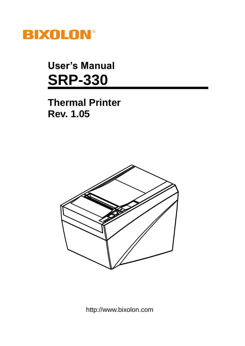

**User's Manual SRP-330**

**Thermal Printer Rev. 1.05**



http://www.bixolon.com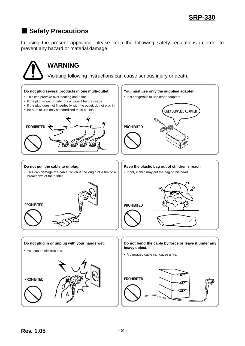# ■ **Safety Precautions**

In using the present appliance, please keep the following safety regulations in order to prevent any hazard or material damage.

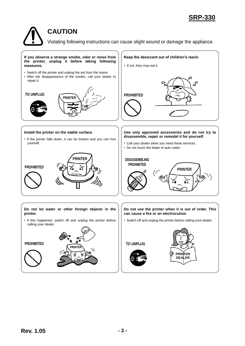### **CAUTION**

Violating following instructions can cause slight wound or damage the appliance.

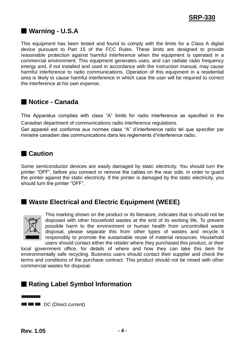### ■ **Warning - U.S.A**

This equipment has been tested and found to comply with the limits for a Class A digital device pursuant to Part 15 of the FCC Rules. These limits are designed to provide reasonable protection against harmful interference when the equipment is operated in a commercial environment. This equipment generates uses, and can radiate radio frequency energy and, if not installed and used in accordance with the instruction manual, may cause harmful interference to radio communications. Operation of this equipment in a residential area is likely to cause harmful interference in which case the user will be required to correct the interference at his own expense.

### ■ **Notice - Canada**

This Apparatus complies with class "A" limits for radio interference as specified in the Canadian department of communications radio interference regulations.

Get appareil est conforme aux normes class "A" d'interference radio tel que specifier par ministre canadien des communications dans les reglements d'interference radio.

### ■ **Caution**

Some semiconductor devices are easily damaged by static electricity. You should turn the printer "OFF", before you connect or remove the cables on the rear side, in order to guard the printer against the static electricity. If the printer is damaged by the static electricity, you should turn the printer "OFF".

### ■ Waste Electrical and Electric Equipment (WEEE)



This marking shown on the product or its literature, indicates that is should not be disposed with other household wastes at the end of its working life, To prevent possible harm to the environment or human health from uncontrolled waste disposal, please separate this from other types of wastes and recycle it responsibly to promote the sustainable reuse of material resources. Household users should contact either the retailer where they purchased this product, or their

local government office, for details of where and how they can take this item for environmentally safe recycling. Business users should contact their supplier and check the terms and conditions of the purchase contract. This product should not be mixed with other commercial wastes for disposal.

### ■ **Rating Label Symbol Information**

**DE DE DC** (Direct current)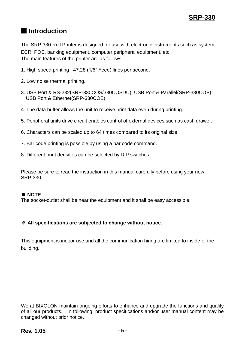### ■ **Introduction**

The SRP-330 Roll Printer is designed for use with electronic instruments such as system ECR, POS, banking equipment, computer peripheral equipment, etc. The main features of the printer are as follows:

- 1. High speed printing : 47.28 (1/6" Feed) lines per second.
- 2. Low noise thermal printing.
- 3. USB Port & RS-232(SRP-330COS/330COSDU), USB Port & Parallel(SRP-330COP), USB Port & Ethernet(SRP-330COE)
- 4. The data buffer allows the unit to receive print data even during printing.
- 5. Peripheral units drive circuit enables control of external devices such as cash drawer.
- 6. Characters can be scaled up to 64 times compared to its original size.
- 7. Bar code printing is possible by using a bar code command.
- 8. Different print densities can be selected by DIP switches.

Please be sure to read the instruction in this manual carefully before using your new SRP-330.

#### ※ **NOTE**

The socket-outlet shall be near the equipment and it shall be easy accessible.

#### ※ **All specifications are subjected to change without notice.**

This equipment is indoor use and all the communication hiring are limited to inside of the building.

We at BIXOLON maintain ongoing efforts to enhance and upgrade the functions and quality of all our products. In following, product specifications and/or user manual content may be changed without prior notice.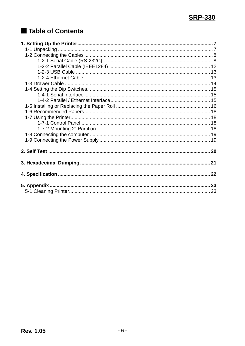# Table of Contents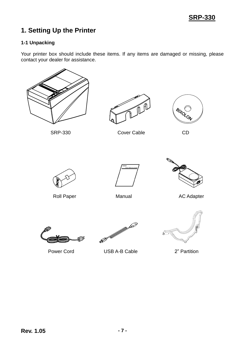# <span id="page-6-0"></span>**1. Setting Up the Printer**

#### <span id="page-6-1"></span>**1-1 Unpacking**

Your printer box should include these items. If any items are damaged or missing, please contact your dealer for assistance.







SRP-330 Cover Cable CD







Roll Paper **Manual** Manual AC Adapter



Power Cord USB A-B Cable 2" Partition

**Command Command Command Command Command Command Command Command Command Command Command Command Command Command Command Command Command Command Command Command Command Command Command Command Command Command Command Comma** 

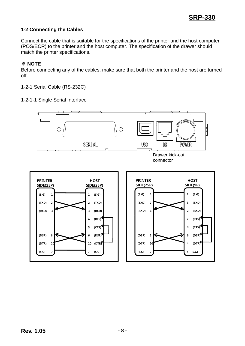2 (RXD) 7 (RTS) 8 (CTS) 6 (DSR) 4 (DTR)

5 (S.G)

#### <span id="page-7-0"></span>**1-2 Connecting the Cables**

Connect the cable that is suitable for the specifications of the printer and the host computer (POS/ECR) to the printer and the host computer. The specification of the drawer should match the printer specifications.

#### ※ **NOTE**

Before connecting any of the cables, make sure that both the printer and the host are turned off.

<span id="page-7-1"></span>1-2-1 Serial Cable (RS-232C)

1-2-1-1 Single Serial Interface

(RXD) 3

(DSR) 6 (DTR) 20

 $(S.G) 7$ 



(RXD) 3

(DSR) 6 (DTR) 20

 $(S.G) 7$ 

 $\mathbf{r}$ 

3 (RXD)

4 (RTS) 5 (CTS) 6 (DSR) 20 (DTR)

7 (S.G)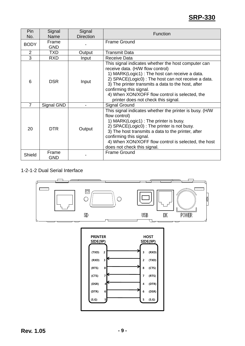| Pin<br>No.  | Signal<br>Name      | Signal<br><b>Direction</b> | Function                                                                                                                                                                                                                                                                                                                                                                   |
|-------------|---------------------|----------------------------|----------------------------------------------------------------------------------------------------------------------------------------------------------------------------------------------------------------------------------------------------------------------------------------------------------------------------------------------------------------------------|
| <b>BODY</b> | Frame<br><b>GND</b> |                            | <b>Frame Ground</b>                                                                                                                                                                                                                                                                                                                                                        |
| 2           | <b>TXD</b>          | Output                     | <b>Transmit Data</b>                                                                                                                                                                                                                                                                                                                                                       |
| 3           | <b>RXD</b>          | Input                      | Receive Data                                                                                                                                                                                                                                                                                                                                                               |
| 6           | <b>DSR</b>          | Input                      | This signal indicates whether the host computer can<br>receive data. (H/W flow control)<br>1) MARK(Logic1) : The host can receive a data.<br>2) SPACE(Logic0) : The host can not receive a data.<br>3) The printer transmits a data to the host, after<br>confirming this signal.<br>4) When XON/XOFF flow control is selected, the<br>printer does not check this signal. |
| 7           | Signal GND          |                            | <b>Signal Ground</b>                                                                                                                                                                                                                                                                                                                                                       |
| 20          | <b>DTR</b>          | Output                     | This signal indicates whether the printer is busy. (H/W<br>flow control)<br>1) MARK(Logic1) : The printer is busy.<br>2) SPACE(Logic0) : The printer is not busy.<br>3) The host transmits a data to the printer, after<br>confirming this signal.<br>4) When XON/XOFF flow control is selected, the host<br>does not check this signal.                                   |
| Shield      | Frame<br>GND        |                            | <b>Frame Ground</b>                                                                                                                                                                                                                                                                                                                                                        |

#### 1-2-1-2 Dual Serial Interface



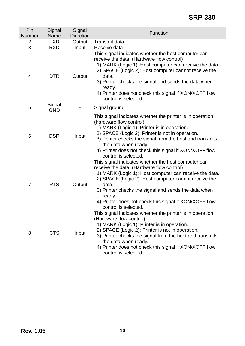| Pin<br>Number  | Signal<br><b>Name</b> | Signal<br><b>Direction</b> | <b>Function</b>                                                                                                                                                                                                                                                                                                                                                                 |
|----------------|-----------------------|----------------------------|---------------------------------------------------------------------------------------------------------------------------------------------------------------------------------------------------------------------------------------------------------------------------------------------------------------------------------------------------------------------------------|
| 2              | <b>TXD</b>            |                            | <b>Transmit data</b>                                                                                                                                                                                                                                                                                                                                                            |
| $\overline{3}$ | <b>RXD</b>            | Output                     | Receive data                                                                                                                                                                                                                                                                                                                                                                    |
| 4              | <b>DTR</b>            | Input<br>Output            | This signal indicates whether the host computer can<br>receive the data. (Hardware flow control)<br>1) MARK (Logic 1): Host computer can receive the data.<br>2) SPACE (Logic 2): Host computer cannot receive the<br>data.<br>3) Printer checks the signal and sends the data when<br>ready.<br>4) Printer does not check this signal if XON/XOFF flow<br>control is selected. |
| 5              | Signal<br><b>GND</b>  |                            | Signal ground                                                                                                                                                                                                                                                                                                                                                                   |
| 6              | <b>DSR</b>            | Input                      | This signal indicates whether the printer is in operation.<br>(hardware flow control)<br>1) MARK (Logic 1): Printer is in operation.<br>2) SPACE (Logic 2): Printer is not in operation.<br>3) Printer checks the signal from the host and transmits<br>the data when ready.<br>4) Printer does not check this signal if XON/XOFF flow<br>control is selected.                  |
| $\overline{7}$ | <b>RTS</b>            | Output                     | This signal indicates whether the host computer can<br>receive the data. (Hardware flow control)<br>1) MARK (Logic 1): Host computer can receive the data.<br>2) SPACE (Logic 2): Host computer cannot receive the<br>data.<br>3) Printer checks the signal and sends the data when<br>ready.<br>4) Printer does not check this signal if XON/XOFF flow<br>control is selected. |
| 8              | <b>CTS</b>            | Input                      | This signal indicates whether the printer is in operation.<br>(Hardware flow control)<br>1) MARK (Logic 1): Printer is in operation.<br>2) SPACE (Logic 2): Printer is not in operation.<br>3) Printer checks the signal from the host and transmits<br>the data when ready.<br>4) Printer does not check this signal if XON/XOFF flow<br>control is selected.                  |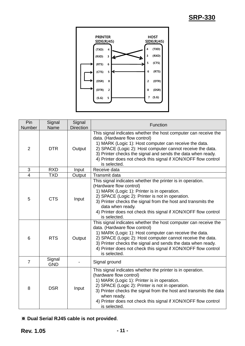

| Pin            | Signal               | Signal           | Function                                                                                                                                                                                                                                                                                                                                                                  |
|----------------|----------------------|------------------|---------------------------------------------------------------------------------------------------------------------------------------------------------------------------------------------------------------------------------------------------------------------------------------------------------------------------------------------------------------------------|
| Number         | Name                 | <b>Direction</b> |                                                                                                                                                                                                                                                                                                                                                                           |
| $\overline{2}$ | <b>DTR</b>           | Output           | This signal indicates whether the host computer can receive the<br>data. (Hardware flow control)<br>1) MARK (Logic 1): Host computer can receive the data.<br>2) SPACE (Logic 2): Host computer cannot receive the data.<br>3) Printer checks the signal and sends the data when ready.<br>4) Printer does not check this signal if XON/XOFF flow control<br>is selected. |
| 3              | <b>RXD</b>           | Input            | Receive data                                                                                                                                                                                                                                                                                                                                                              |
| $\overline{4}$ | <b>TXD</b>           | Output           | Transmit data                                                                                                                                                                                                                                                                                                                                                             |
| 5              | <b>CTS</b>           | Input            | This signal indicates whether the printer is in operation.<br>(Hardware flow control)<br>1) MARK (Logic 1): Printer is in operation.<br>2) SPACE (Logic 2): Printer is not in operation.<br>3) Printer checks the signal from the host and transmits the<br>data when ready.<br>4) Printer does not check this signal if XON/XOFF flow control<br>is selected.            |
| 6              | <b>RTS</b>           | Output           | This signal indicates whether the host computer can receive the<br>data. (Hardware flow control)<br>1) MARK (Logic 1): Host computer can receive the data.<br>2) SPACE (Logic 2): Host computer cannot receive the data.<br>3) Printer checks the signal and sends the data when ready.<br>4) Printer does not check this signal if XON/XOFF flow control<br>is selected. |
| $\overline{7}$ | Signal<br><b>GND</b> |                  | Signal ground                                                                                                                                                                                                                                                                                                                                                             |
| 8              | <b>DSR</b>           | Input            | This signal indicates whether the printer is in operation.<br>(hardware flow control)<br>1) MARK (Logic 1): Printer is in operation.<br>2) SPACE (Logic 2): Printer is not in operation.<br>3) Printer checks the signal from the host and transmits the data<br>when ready.<br>4) Printer does not check this signal if XON/XOFF flow control<br>is selected.            |

### ※ **Dual Serial RJ45 cable is not provided**.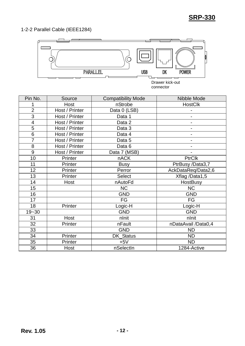<span id="page-11-0"></span>1-2-2 Parallel Cable (IEEE1284)



Drawer kick-out connector

| Pin No.                 | Source         | <b>Compatibility Mode</b> | Nibble Mode              |
|-------------------------|----------------|---------------------------|--------------------------|
|                         | Host           | nStrobe                   | <b>HostClk</b>           |
| $\overline{2}$          | Host / Printer | Data 0 (LSB)              |                          |
| 3                       | Host / Printer | Data 1                    | $\overline{\phantom{a}}$ |
| $\overline{\mathbf{4}}$ | Host / Printer | Data 2                    |                          |
| 5                       | Host / Printer | Data 3                    |                          |
| 6                       | Host / Printer | Data 4                    | $\overline{\phantom{a}}$ |
| 7                       | Host / Printer | Data 5                    |                          |
| 8                       | Host / Printer | Data 6                    |                          |
| 9                       | Host / Printer | Data 7 (MSB)              |                          |
| 10                      | Printer        | <b>nACK</b>               | <b>PtrClk</b>            |
| 11                      | Printer        | <b>Busy</b>               | PtrBusy /Data3,7         |
| 12                      | Printer        | Perror                    | AckDataReq/Data2,6       |
| 13                      | Printer        | <b>Select</b>             | Xflag /Data1,5           |
| 14                      | Host           | nAutoFd                   | <b>HostBusy</b>          |
| 15                      |                | <b>NC</b>                 | <b>NC</b>                |
| 16                      |                | <b>GND</b>                | <b>GND</b>               |
| 17                      |                | FG                        | FG                       |
| 18                      | Printer        | Logic-H                   | Logic-H                  |
| $19 - 30$               |                | <b>GND</b>                | <b>GND</b>               |
| 31                      | Host           | nlnit                     | nlnit                    |
| 32                      | Printer        | nFault                    | nDataAvail /Data0,4      |
| 33                      |                | <b>GND</b>                | <b>ND</b>                |
| 34                      | Printer        | DK_Status                 | <b>ND</b>                |
| 35                      | Printer        | $+5V$                     | <b>ND</b>                |
| 36                      | Host           | nSelectIn                 | 1284-Active              |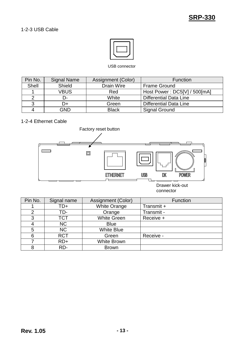

#### USB connector

<span id="page-12-0"></span>

| Pin No. | <b>Signal Name</b> | Assignment (Color) | <b>Function</b>               |
|---------|--------------------|--------------------|-------------------------------|
| Shell   | Shield             | Drain Wire         | <b>Frame Ground</b>           |
|         | <b>VBUS</b>        | Red                | Host Power: DC5[V] / 500[mA]  |
|         | D-                 | White              | <b>Differential Data Line</b> |
|         | D+                 | Green              | <b>Differential Data Line</b> |
|         | GND                | <b>Black</b>       | <b>Signal Ground</b>          |

### <span id="page-12-1"></span>1-2-4 Ethernet Cable



| Pin No. | Signal name | Assignment (Color)  | Function   |
|---------|-------------|---------------------|------------|
|         | TD+         | <b>White Orange</b> | Transmit + |
| 2       | TD-         | Orange              | Transmit - |
| 3       | <b>TCT</b>  | <b>White Green</b>  | Receive +  |
|         | <b>NC</b>   | <b>Blue</b>         |            |
| 5       | <b>NC</b>   | <b>White Blue</b>   |            |
| 6       | <b>RCT</b>  | Green               | Receive -  |
|         | $RD+$       | <b>White Brown</b>  |            |
|         | RD-         | <b>Brown</b>        |            |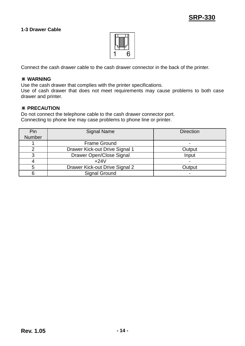#### <span id="page-13-0"></span>**1-3 Drawer Cable**



Connect the cash drawer cable to the cash drawer connector in the back of the printer.

#### ※ **WARNING**

Use the cash drawer that complies with the printer specifications.

Use of cash drawer that does not meet requirements may cause problems to both case drawer and printer.

#### ※ **PRECAUTION**

Do not connect the telephone cable to the cash drawer connector port. Connecting to phone line may case problems to phone line or printer.

| Pin    | <b>Signal Name</b>             | <b>Direction</b> |
|--------|--------------------------------|------------------|
| Number |                                |                  |
|        | <b>Frame Ground</b>            |                  |
|        | Drawer Kick-out Drive Signal 1 | Output           |
| ⌒      | Drawer Open/Close Signal       | Input            |
|        | $+24V$                         |                  |
|        | Drawer Kick-out Drive Signal 2 | Output           |
|        | <b>Signal Ground</b>           | ۰                |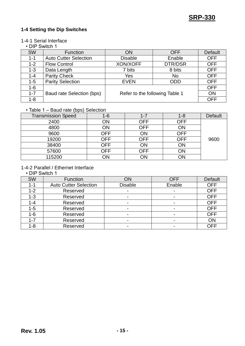#### <span id="page-14-0"></span>**1-4 Setting the Dip Switches**

#### <span id="page-14-1"></span>1-4-1 Serial Interface

#### • DIP Switch 1

| <b>SW</b> | Function                     | ON                             | <b>OFF</b> | Default    |
|-----------|------------------------------|--------------------------------|------------|------------|
| $1 - 1$   | <b>Auto Cutter Selection</b> | <b>Disable</b>                 | Enable     | <b>OFF</b> |
| $1 - 2$   | <b>Flow Control</b>          | XON/XOFF                       | DTR/DSR    | <b>OFF</b> |
| $1 - 3$   | Data Length                  | 7 bits                         | 8 bits     | <b>OFF</b> |
| $1 - 4$   | <b>Parity Check</b>          | Yes                            | <b>No</b>  | <b>OFF</b> |
| $1 - 5$   | <b>Parity Selection</b>      | <b>EVEN</b>                    | <b>ODD</b> | <b>OFF</b> |
| $1 - 6$   |                              |                                |            | <b>OFF</b> |
| $1 - 7$   | Baud rate Selection (bps)    | Refer to the following Table 1 |            | ON         |
| $1 - 8$   |                              |                                |            | <b>OFF</b> |

#### • Table 1 – Baud rate (bps) Selection

| <b>Transmission Speed</b> | 1-6        | 1-7        | $1 - 8$ | Default |
|---------------------------|------------|------------|---------|---------|
| 2400                      | ON         | <b>OFF</b> | OFF     |         |
| 4800                      | ΟN         | <b>OFF</b> | ON      |         |
| 9600                      | OFF        | ON         | OFF     |         |
| 19200                     | OFF        | <b>OFF</b> | OFF     | 9600    |
| 38400                     | <b>OFF</b> | ON         | ON      |         |
| 57600                     | OFF        | <b>OFF</b> | ON      |         |
| 115200                    | ΟN         | ON         | ON      |         |

#### <span id="page-14-2"></span>1-4-2 Parallel / Ethernet Interface

#### • DIP Switch 1

| <b>SW</b> | Function                     | ON                       | <b>OFF</b>               | Default    |
|-----------|------------------------------|--------------------------|--------------------------|------------|
| $1 - 1$   | <b>Auto Cutter Selection</b> | <b>Disable</b>           | Enable                   | <b>OFF</b> |
| $1 - 2$   | Reserved                     |                          | ۰                        | <b>OFF</b> |
| $1 - 3$   | Reserved                     | $\blacksquare$           | -                        | <b>OFF</b> |
| $1 - 4$   | Reserved                     |                          | -                        | <b>OFF</b> |
| $1 - 5$   | Reserved                     |                          | $\overline{\phantom{0}}$ | <b>OFF</b> |
| $1 - 6$   | Reserved                     |                          | $\blacksquare$           | <b>OFF</b> |
| $1 - 7$   | Reserved                     | $\overline{\phantom{0}}$ | $\overline{\phantom{0}}$ | ON         |
| $1 - 8$   | Reserved                     |                          | $\blacksquare$           | <b>OFF</b> |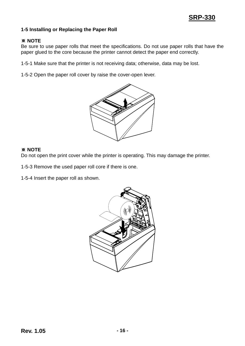#### <span id="page-15-0"></span>**1-5 Installing or Replacing the Paper Roll**

#### ※ **NOTE**

Be sure to use paper rolls that meet the specifications. Do not use paper rolls that have the paper glued to the core because the printer cannot detect the paper end correctly.

1-5-1 Make sure that the printer is not receiving data; otherwise, data may be lost.

1-5-2 Open the paper roll cover by raise the cover-open lever.



#### ※ **NOTE**

Do not open the print cover while the printer is operating. This may damage the printer.

1-5-3 Remove the used paper roll core if there is one.

1-5-4 Insert the paper roll as shown.

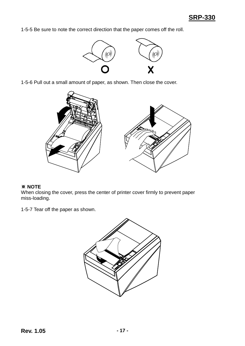1-5-5 Be sure to note the correct direction that the paper comes off the roll.



1-5-6 Pull out a small amount of paper, as shown. Then close the cover.



#### ※ **NOTE**

When closing the cover, press the center of printer cover firmly to prevent paper miss-loading.

1-5-7 Tear off the paper as shown.

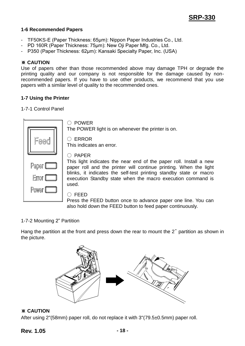#### <span id="page-17-0"></span>**1-6 Recommended Papers**

- TF50KS-E (Paper Thickness: 65μm): Nippon Paper Industries Co., Ltd.
- PD 160R (Paper Thickness: 75μm): New Oji Paper Mfg. Co., Ltd.
- P350 (Paper Thickness: 62μm): Kansaki Specialty Paper, Inc. (USA)

#### ※ **CAUTION**

Use of papers other than those recommended above may damage TPH or degrade the printing quality and our company is not responsible for the damage caused by nonrecommended papers. If you have to use other products, we recommend that you use papers with a similar level of quality to the recommended ones.

#### <span id="page-17-1"></span>**1-7 Using the Printer**

#### <span id="page-17-2"></span>1-7-1 Control Panel

 $\ddot{\phantom{a}}$ 

|       | <b>POWER</b>                                                                                                                            |
|-------|-----------------------------------------------------------------------------------------------------------------------------------------|
|       | The POWER light is on whenever the printer is on.                                                                                       |
|       | <b>ERROR</b><br>This indicates an error.                                                                                                |
|       | <b>PAPER</b>                                                                                                                            |
| Paper | This light indicates the near end of the paper roll. Install a new<br>paper roll and the printer will continue printing. When the light |
| Error | blinks, it indicates the self-test printing standby state or macro<br>execution Standby state when the macro execution command is       |
| Power | used.                                                                                                                                   |
|       | <b>FEED</b>                                                                                                                             |
|       | Press the FEED button once to advance paper one line. You can                                                                           |
|       | also hold down the FEED button to feed paper continuously.                                                                              |

#### <span id="page-17-3"></span>1-7-2 Mounting 2" Partition

Hang the partition at the front and press down the rear to mount the 2" partition as shown in the picture.



#### ※ **CAUTION**

After using 2"(58mm) paper roll, do not replace it with 3"(79.5±0.5mm) paper roll.

#### **Rev. 1.05 - 18 -**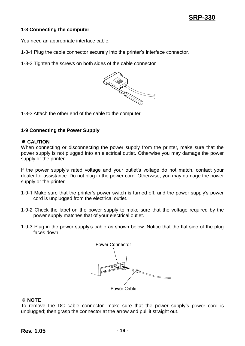#### <span id="page-18-0"></span>**1-8 Connecting the computer**

You need an appropriate interface cable.

1-8-1 Plug the cable connector securely into the printer's interface connector.

1-8-2 Tighten the screws on both sides of the cable connector.



1-8-3 Attach the other end of the cable to the computer.

#### <span id="page-18-1"></span>**1-9 Connecting the Power Supply**

#### ※ **CAUTION**

When connecting or disconnecting the power supply from the printer, make sure that the power supply is not plugged into an electrical outlet. Otherwise you may damage the power supply or the printer.

If the power supply's rated voltage and your outlet's voltage do not match, contact your dealer for assistance. Do not plug in the power cord. Otherwise, you may damage the power supply or the printer.

- 1-9-1 Make sure that the printer's power switch is turned off, and the power supply's power cord is unplugged from the electrical outlet.
- 1-9-2 Check the label on the power supply to make sure that the voltage required by the power supply matches that of your electrical outlet.
- 1-9-3 Plug in the power supply's cable as shown below. Notice that the flat side of the plug faces down.



#### ※ **NOTE**

To remove the DC cable connector, make sure that the power supply's power cord is unplugged; then grasp the connector at the arrow and pull it straight out.

#### **Rev. 1.05 - 19 -**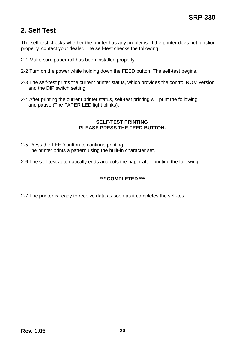## <span id="page-19-0"></span>**2. Self Test**

The self-test checks whether the printer has any problems. If the printer does not function properly, contact your dealer. The self-test checks the following;

- 2-1 Make sure paper roll has been installed properly.
- 2-2 Turn on the power while holding down the FEED button. The self-test begins.
- 2-3 The self-test prints the current printer status, which provides the control ROM version and the DIP switch setting.
- 2-4 After printing the current printer status, self-test printing will print the following, and pause (The PAPER LED light blinks).

#### **SELF-TEST PRINTING. PLEASE PRESS THE FEED BUTTON.**

- 2-5 Press the FEED button to continue printing. The printer prints a pattern using the built-in character set.
- 2-6 The self-test automatically ends and cuts the paper after printing the following.

#### **\*\*\* COMPLETED \*\*\***

2-7 The printer is ready to receive data as soon as it completes the self-test.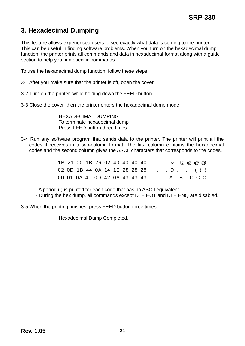# <span id="page-20-0"></span>**3. Hexadecimal Dumping**

This feature allows experienced users to see exactly what data is coming to the printer. This can be useful in finding software problems. When you turn on the hexadecimal dump function, the printer prints all commands and data in hexadecimal format along with a guide section to help you find specific commands.

To use the hexadecimal dump function, follow these steps.

- 3-1 After you make sure that the printer is off, open the cover.
- 3-2 Turn on the printer, while holding down the FEED button.
- 3-3 Close the cover, then the printer enters the hexadecimal dump mode.

HEXADECIMAL DUMPING To terminate hexadecimal dump Press FEED button three times.

3-4 Run any software program that sends data to the printer. The printer will print all the codes it receives in a two-column format. The first column contains the hexadecimal codes and the second column gives the ASCII characters that corresponds to the codes.

|  | 1B 21 00 1B 26 02 40 40 40 40 |  |  |  | $\ldots 8$ . @ @ @ @                         |
|--|-------------------------------|--|--|--|----------------------------------------------|
|  |                               |  |  |  | 02 0D 1B 44 0A 14 1E 28 28 28 D ( ( (        |
|  |                               |  |  |  | 00 01 0A 41 0D 42 0A 43 43 43  A . B . C C C |

- A period (.) is printed for each code that has no ASCII equivalent.

- During the hex dump, all commands except DLE EOT and DLE ENQ are disabled.
- 3-5 When the printing finishes, press FEED button three times.

Hexadecimal Dump Completed.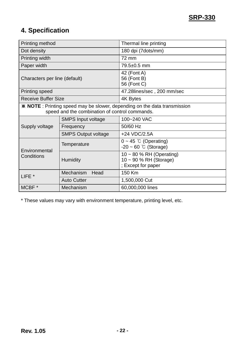# <span id="page-21-0"></span>**4. Specification**

| Printing method                                                                                                                    |                            | Thermal line printing                                                           |  |  |  |  |  |
|------------------------------------------------------------------------------------------------------------------------------------|----------------------------|---------------------------------------------------------------------------------|--|--|--|--|--|
| Dot density                                                                                                                        |                            | 180 dpi (7dots/mm)                                                              |  |  |  |  |  |
| Printing width                                                                                                                     |                            | 72 mm                                                                           |  |  |  |  |  |
| Paper width                                                                                                                        |                            | 79.5±0.5 mm                                                                     |  |  |  |  |  |
| Characters per line (default)                                                                                                      |                            | 42 (Font A)<br>56 (Font B)<br>56 (Font C)                                       |  |  |  |  |  |
| <b>Printing speed</b>                                                                                                              |                            | 47.28lines/sec, 200 mm/sec                                                      |  |  |  |  |  |
| <b>Receive Buffer Size</b>                                                                                                         |                            | 4K Bytes                                                                        |  |  |  |  |  |
| <b>X NOTE</b> : Printing speed may be slower, depending on the data transmission<br>speed and the combination of control commands. |                            |                                                                                 |  |  |  |  |  |
|                                                                                                                                    | <b>SMPS Input voltage</b>  | 100~240 VAC                                                                     |  |  |  |  |  |
| Supply voltage                                                                                                                     | Frequency                  | 50/60 Hz                                                                        |  |  |  |  |  |
|                                                                                                                                    | <b>SMPS Output voltage</b> | +24 VDC/2.5A                                                                    |  |  |  |  |  |
| Environmental                                                                                                                      | Temperature                | $0 \sim 45$ °C (Operating)<br>$-20 \sim 60$ °C (Storage)                        |  |  |  |  |  |
| Conditions                                                                                                                         | <b>Humidity</b>            | $10 \sim 80$ % RH (Operating)<br>$10 - 90$ % RH (Storage)<br>; Except for paper |  |  |  |  |  |
| LIFE <sup>*</sup>                                                                                                                  | Mechanism<br>Head          | 150 Km                                                                          |  |  |  |  |  |
|                                                                                                                                    | <b>Auto Cutter</b>         | 1,500,000 Cut                                                                   |  |  |  |  |  |
| MCBF*                                                                                                                              | Mechanism                  | 60,000,000 lines                                                                |  |  |  |  |  |

\* These values may vary with environment temperature, printing level, etc.